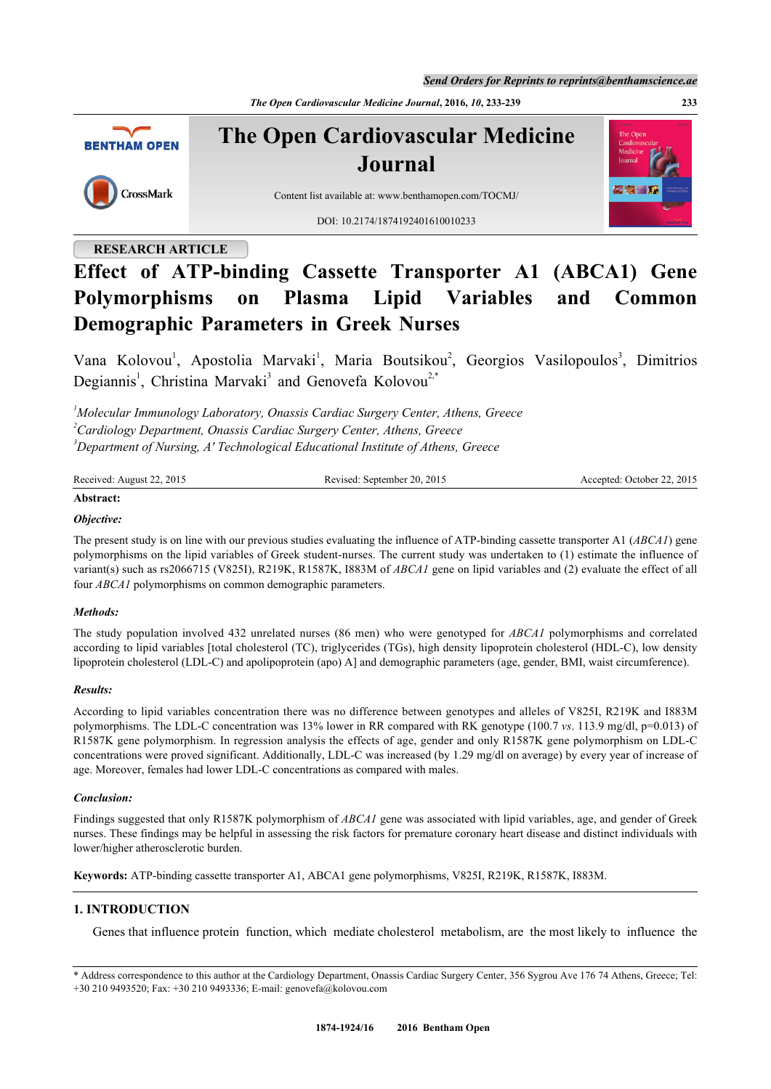*Send Orders for Reprints to reprints@benthamscience.ae*

*The Open Cardiovascular Medicine Journal***, 2016,** *10***, 233-239 233**



# **The Open Cardiovascular Medicine Journal**



Content list available at: [www.benthamopen.com/TOCMJ/](http://www.benthamopen.com/TOCMJ/)

DOI: [10.2174/1874192401610010233](http://dx.doi.org/10.2174/1874192401610010233)

# **RESEARCH ARTICLE**

# **Effect of ATP-binding Cassette Transporter A1 (ABCA1) Gene Polymorphisms on Plasma Lipid Variables and Common Demographic Parameters in Greek Nurses**

Vana Kolovou<sup>[1](#page-0-0)</sup>, Apostolia Marvaki<sup>1</sup>, Maria Boutsikou<sup>[2](#page-0-1)</sup>, Georgios Vasilopoulos<sup>[3](#page-0-2)</sup>, Dimitrios Degiannis<sup>[1](#page-0-0)</sup>, Christina Marvaki<sup>[3](#page-0-2)</sup> and Genovefa Kolovou<sup>[2,](#page-0-1)[\\*](#page-0-3)</sup>

<span id="page-0-1"></span><span id="page-0-0"></span>*<sup>1</sup>Molecular Immunology Laboratory, Onassis Cardiac Surgery Center, Athens, Greece <sup>2</sup>Cardiology Department, Onassis Cardiac Surgery Center, Athens, Greece <sup>3</sup>Department of Nursing, A' Technological Educational Institute of Athens, Greece*

<span id="page-0-2"></span>

|--|

# **Abstract:** *Objective:*

The present study is on line with our previous studies evaluating the influence of ATP-binding cassette transporter A1 (*ABCA1*) gene polymorphisms on the lipid variables of Greek student-nurses. The current study was undertaken to (1) estimate the influence of variant(s) such as rs2066715 (V825I), R219K, R1587K, I883M of *ABCA1* gene on lipid variables and (2) evaluate the effect of all four *ABCA1* polymorphisms on common demographic parameters.

# *Methods:*

The study population involved 432 unrelated nurses (86 men) who were genotyped for *ABCA1* polymorphisms and correlated according to lipid variables [total cholesterol (TC), triglycerides (TGs), high density lipoprotein cholesterol (HDL-C), low density lipoprotein cholesterol (LDL-C) and apolipoprotein (apo) A] and demographic parameters (age, gender, BMI, waist circumference).

# *Results:*

According to lipid variables concentration there was no difference between genotypes and alleles of V825I, R219K and I883M polymorphisms. The LDL-C concentration was 13% lower in RR compared with RK genotype (100.7 *vs*. 113.9 mg/dl, p=0.013) of R1587K gene polymorphism. In regression analysis the effects of age, gender and only R1587K gene polymorphism on LDL-C concentrations were proved significant. Additionally, LDL-C was increased (by 1.29 mg/dl on average) by every year of increase of age. Moreover, females had lower LDL-C concentrations as compared with males.

### *Conclusion:*

Findings suggested that only R1587K polymorphism of *ABCA1* gene was associated with lipid variables, age, and gender of Greek nurses. These findings may be helpful in assessing the risk factors for premature coronary heart disease and distinct individuals with lower/higher atherosclerotic burden.

**Keywords:** ATP-binding cassette transporter A1, ABCA1 gene polymorphisms, V825I, R219K, R1587K, I883M.

# **1. INTRODUCTION**

Genes that influence protein function, which mediate cholesterol metabolism, are the most likely to influence the



<span id="page-0-3"></span><sup>\*</sup> Address correspondence to this author at the Cardiology Department, Onassis Cardiac Surgery Center, 356 Sygrou Ave 176 74 Athens, Greece; Tel: +30 210 9493520; Fax: +30 210 9493336; E-mail: [genovefa@kolovou.com](mailto:genovefa@kolovou.com)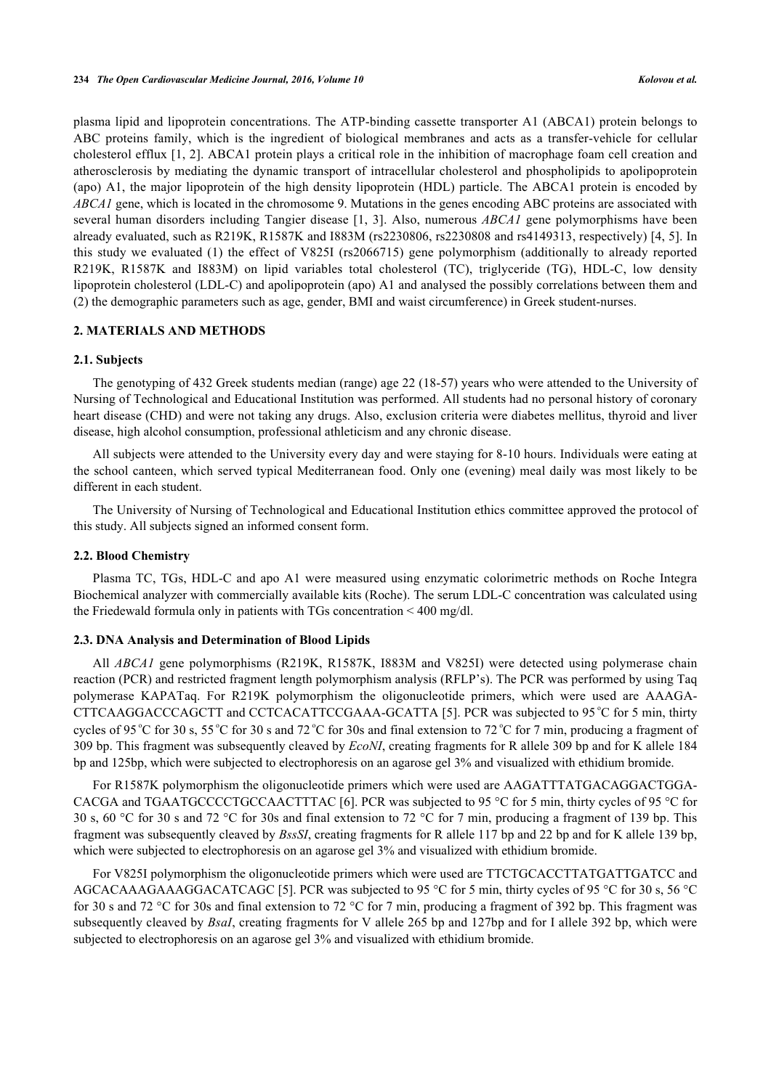plasma lipid and lipoprotein concentrations. The ATP-binding cassette transporter A1 (ABCA1) protein belongs to ABC proteins family, which is the ingredient of biological membranes and acts as a transfer-vehicle for cellular cholesterol efflux [[1](#page-4-0)[, 2\]](#page-5-0). ABCA1 protein plays a critical role in the inhibition of macrophage foam cell creation and atherosclerosis by mediating the dynamic transport of intracellular cholesterol and phospholipids to apolipoprotein (apo) A1, the major lipoprotein of the high density lipoprotein (HDL) particle. The ABCA1 protein is encoded by *ABCA1* gene, which is located in the chromosome 9. Mutations in the genes encoding ABC proteins are associated with several human disorders including Tangier disease [\[1,](#page-4-0) [3\]](#page-5-1). Also, numerous *ABCA1* gene polymorphisms have been already evaluated, such as R219K, R1587K and I883M (rs2230806, rs2230808 and rs4149313, respectively) [[4](#page-5-2), [5](#page-5-3)]. In this study we evaluated (1) the effect of V825I (rs2066715) gene polymorphism (additionally to already reported R219K, R1587K and I883M) on lipid variables total cholesterol (TC), triglyceride (TG), HDL-C, low density lipoprotein cholesterol (LDL-C) and apolipoprotein (apo) A1 and analysed the possibly correlations between them and (2) the demographic parameters such as age, gender, BMI and waist circumference) in Greek student-nurses.

#### **2. MATERIALS AND METHODS**

#### **2.1. Subjects**

The genotyping of 432 Greek students median (range) age 22 (18-57) years who were attended to the University of Nursing of Technological and Educational Institution was performed. All students had no personal history of coronary heart disease (CHD) and were not taking any drugs. Also, exclusion criteria were diabetes mellitus, thyroid and liver disease, high alcohol consumption, professional athleticism and any chronic disease.

All subjects were attended to the University every day and were staying for 8-10 hours. Individuals were eating at the school canteen, which served typical Mediterranean food. Only one (evening) meal daily was most likely to be different in each student.

The University of Nursing of Technological and Educational Institution ethics committee approved the protocol of this study. All subjects signed an informed consent form.

#### **2.2. Blood Chemistry**

Plasma TC, TGs, HDL-C and apo A1 were measured using enzymatic colorimetric methods on Roche Integra Biochemical analyzer with commercially available kits (Roche). The serum LDL-C concentration was calculated using the Friedewald formula only in patients with TGs concentration < 400 mg/dl.

#### **2.3. DNA Analysis and Determination of Blood Lipids**

All *ABCA1* gene polymorphisms (R219K, R1587K, I883M and V825I) were detected using polymerase chain reaction (PCR) and restricted fragment length polymorphism analysis (RFLP's). The PCR was performed by using Taq polymerase KAPATaq. For R219K polymorphism the oligonucleotide primers, which were used are AAAGA-CTTCAAGGACCCAGCTT and CCTCACATTCCGAAA-GCATTA [[5\]](#page-5-3). PCR was subjected to 95 °C for 5 min, thirty cycles of 95<sup>o</sup>C for 30 s, 55<sup>o</sup>C for 30 s and 72<sup>o</sup>C for 30s and final extension to 72<sup>o</sup>C for 7 min, producing a fragment of 309 bp. This fragment was subsequently cleaved by *EcoNI*, creating fragments for R allele 309 bp and for K allele 184 bp and 125bp, which were subjected to electrophoresis on an agarose gel 3% and visualized with ethidium bromide.

For R1587K polymorphism the oligonucleotide primers which were used are AAGATTTATGACAGGACTGGA-CACGA and TGAATGCCCCTGCCAACTTTAC [[6\]](#page-5-4). PCR was subjected to 95 °C for 5 min, thirty cycles of 95 °C for 30 s, 60 °C for 30 s and 72 °C for 30s and final extension to 72 °C for 7 min, producing a fragment of 139 bp. This fragment was subsequently cleaved by *BssSI*, creating fragments for R allele 117 bp and 22 bp and for K allele 139 bp, which were subjected to electrophoresis on an agarose gel 3% and visualized with ethidium bromide.

For V825I polymorphism the oligonucleotide primers which were used are TTCTGCACCTTATGATTGATCC and AGCACAAAGAAAGGACATCAGC [\[5](#page-5-3)]. PCR was subjected to 95 °C for 5 min, thirty cycles of 95 °C for 30 s, 56 °C for 30 s and 72 °C for 30s and final extension to 72 °C for 7 min, producing a fragment of 392 bp. This fragment was subsequently cleaved by *BsaI*, creating fragments for V allele 265 bp and 127bp and for I allele 392 bp, which were subjected to electrophoresis on an agarose gel 3% and visualized with ethidium bromide.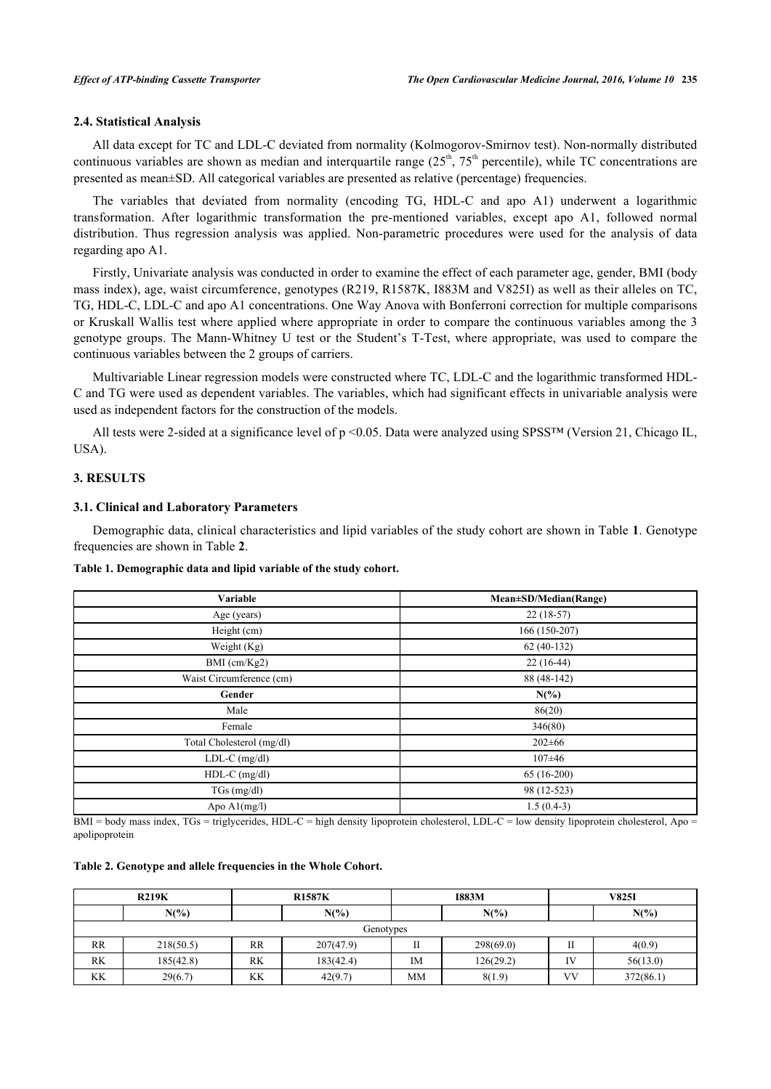### **2.4. Statistical Analysis**

All data except for TC and LDL-C deviated from normality (Kolmogorov-Smirnov test). Non-normally distributed continuous variables are shown as median and interquartile range  $(25<sup>th</sup>, 75<sup>th</sup>$  percentile), while TC concentrations are presented as mean±SD. All categorical variables are presented as relative (percentage) frequencies.

The variables that deviated from normality (encoding TG, HDL-C and apo A1) underwent a logarithmic transformation. After logarithmic transformation the pre-mentioned variables, except apo A1, followed normal distribution. Thus regression analysis was applied. Non-parametric procedures were used for the analysis of data regarding apo A1.

Firstly, Univariate analysis was conducted in order to examine the effect of each parameter age, gender, BMI (body mass index), age, waist circumference, genotypes (R219, R1587K, I883M and V825I) as well as their alleles on TC, TG, HDL-C, LDL-C and apo A1 concentrations. One Way Anova with Bonferroni correction for multiple comparisons or Kruskall Wallis test where applied where appropriate in order to compare the continuous variables among the 3 genotype groups. The Mann-Whitney U test or the Student's T-Test, where appropriate, was used to compare the continuous variables between the 2 groups of carriers.

Multivariable Linear regression models were constructed where TC, LDL-C and the logarithmic transformed HDL-C and TG were used as dependent variables. The variables, which had significant effects in univariable analysis were used as independent factors for the construction of the models.

All tests were 2-sided at a significance level of p <0.05. Data were analyzed using SPSS™ (Version 21, Chicago IL, USA).

# **3. RESULTS**

#### **3.1. Clinical and Laboratory Parameters**

Demographic data, clinical characteristics and lipid variables of the study cohort are shown in Table **[1](#page-2-0)**. Genotype frequencies are shown in Table **[2](#page-2-1)**.

<span id="page-2-0"></span>**Table 1. Demographic data and lipid variable of the study cohort.**

| Variable                                  | Mean±SD/Median(Range) |  |  |  |
|-------------------------------------------|-----------------------|--|--|--|
| Age (years)                               | $22(18-57)$           |  |  |  |
| Height (cm)                               | 166 (150-207)         |  |  |  |
| Weight $(Kg)$                             | $62(40-132)$          |  |  |  |
| BMI (cm/Kg2)                              | $22(16-44)$           |  |  |  |
| Waist Circumference (cm)                  | 88 (48-142)           |  |  |  |
| Gender                                    | $N(\%)$               |  |  |  |
| Male                                      | 86(20)                |  |  |  |
| Female                                    | 346(80)               |  |  |  |
| Total Cholesterol (mg/dl)                 | $202 \pm 66$          |  |  |  |
| $LDL-C$ (mg/dl)                           | $107 + 46$            |  |  |  |
| $HDL-C$ (mg/dl)                           | $65(16-200)$          |  |  |  |
| TGs (mg/dl)                               | 98 (12-523)           |  |  |  |
| Apo $\mathrm{Al}(\mathrm{mg}/\mathrm{l})$ | $1.5(0.4-3)$          |  |  |  |

 $BMI = body$  mass index,  $TGs = triglycerides$ ,  $HDL-C = high density lipoprotein$  cholesterol,  $LDL-C = low$  density lipoprotein cholesterol,  $Apo =$ apolipoprotein

<span id="page-2-1"></span>**Table 2. Genotype and allele frequencies in the Whole Cohort.**

| <b>R219K</b> |           | <b>R1587K</b> |           | <b>I883M</b> |           | <b>V825I</b> |           |
|--------------|-----------|---------------|-----------|--------------|-----------|--------------|-----------|
|              | $N(\%)$   |               | $N(\%)$   |              | $N(\%)$   |              | $N(\%)$   |
| Genotypes    |           |               |           |              |           |              |           |
| RR           | 218(50.5) | <b>RR</b>     | 207(47.9) |              | 298(69.0) |              | 4(0.9)    |
| <b>RK</b>    | 185(42.8) | <b>RK</b>     | 183(42.4) | <b>IM</b>    | 126(29.2) | IV           | 56(13.0)  |
| KK           | 29(6.7)   | KK            | 42(9.7)   | <b>MM</b>    | 8(1.9)    | VV           | 372(86.1) |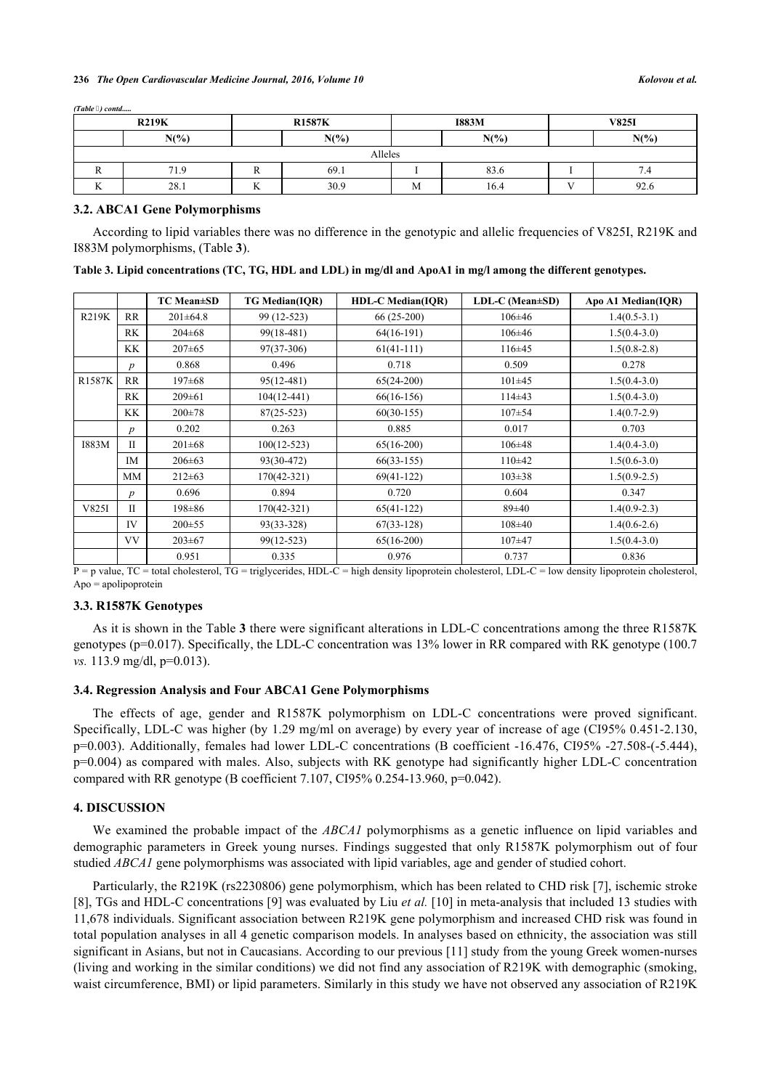#### **236** *The Open Cardiovascular Medicine Journal, 2016, Volume 10 Kolovou et al.*

|    | <b>R219K</b><br><b>R1587K</b><br><b>I883M</b> |          |         | <b>V825I</b> |      |     |         |  |
|----|-----------------------------------------------|----------|---------|--------------|------|-----|---------|--|
|    | $N(\%)$                                       |          | $N(\%)$ | $N(\%)$      |      |     | $N(\%)$ |  |
|    | Alleles                                       |          |         |              |      |     |         |  |
| n. | 71.9                                          | r        | 69.1    |              | 83.6 |     | 7.4     |  |
| v. | 28.1                                          | v r<br>v | 30.9    | M            | 16.4 | v v | 92.6    |  |

#### **3.2. ABCA1 Gene Polymorphisms**

*(Table ) contd.....*

According to lipid variables there was no difference in the genotypic and allelic frequencies of V825I, R219K and I883M polymorphisms, (Table **[3](#page-3-0)**).

<span id="page-3-0"></span>

| Table 3. Lipid concentrations (TC, TG, HDL and LDL) in mg/dl and ApoA1 in mg/l among the different genotypes. |  |  |  |  |
|---------------------------------------------------------------------------------------------------------------|--|--|--|--|
|                                                                                                               |  |  |  |  |

|               |                  | <b>TC Mean</b> ±SD | <b>TG Median(IQR)</b> | <b>HDL-C Median(IQR)</b> | LDL-C (Mean±SD) | Apo A1 Median(IQR) |
|---------------|------------------|--------------------|-----------------------|--------------------------|-----------------|--------------------|
| R219K         | RR               | $201 \pm 64.8$     | 99 (12-523)           | $66(25-200)$             | $106 \pm 46$    | $1.4(0.5-3.1)$     |
|               | <b>RK</b>        | $204 \pm 68$       | 99(18-481)            | $64(16-191)$             | $106 \pm 46$    | $1.5(0.4-3.0)$     |
|               | KK.              | $207 \pm 65$       | $97(37-306)$          | $61(41-111)$             | $116\pm 45$     | $1.5(0.8-2.8)$     |
|               | $\boldsymbol{p}$ | 0.868              | 0.496                 | 0.718                    | 0.509           | 0.278              |
| <b>R1587K</b> | <b>RR</b>        | $197 \pm 68$       | $95(12-481)$          | $65(24-200)$             | $101 \pm 45$    | $1.5(0.4-3.0)$     |
|               | <b>RK</b>        | $209 \pm 61$       | $104(12-441)$         | $66(16-156)$             | $114\pm 43$     | $1.5(0.4-3.0)$     |
|               | KK               | $200 + 78$         | $87(25-523)$          | $60(30-155)$             | $107 + 54$      | $1.4(0.7-2.9)$     |
|               | $\boldsymbol{p}$ | 0.202              | 0.263                 | 0.885                    | 0.017           | 0.703              |
| I883M         | $\mathbf{I}$     | $201 \pm 68$       | $100(12-523)$         | $65(16-200)$             | $106 \pm 48$    | $1.4(0.4-3.0)$     |
|               | IM               | $206 \pm 63$       | 93(30-472)            | $66(33-155)$             | $110\pm 42$     | $1.5(0.6-3.0)$     |
|               | <b>MM</b>        | $212 \pm 63$       | $170(42-321)$         | $69(41-122)$             | $103 \pm 38$    | $1.5(0.9-2.5)$     |
|               | $\boldsymbol{p}$ | 0.696              | 0.894                 | 0.720                    | 0.604           | 0.347              |
| V825I         | $\mathbf{I}$     | $198 \pm 86$       | 170(42-321)           | $65(41-122)$             | $89 \pm 40$     | $1.4(0.9-2.3)$     |
|               | IV               | $200 \pm 55$       | 93(33-328)            | $67(33-128)$             | $108 + 40$      | $1.4(0.6-2.6)$     |
|               | <b>VV</b>        | $203 \pm 67$       | 99(12-523)            | $65(16-200)$             | $107 + 47$      | $1.5(0.4-3.0)$     |
|               |                  | 0.951              | 0.335                 | 0.976                    | 0.737           | 0.836              |

P = p value, TC = total cholesterol, TG = triglycerides, HDL-C = high density lipoprotein cholesterol, LDL-C = low density lipoprotein cholesterol, Apo = apolipoprotein

#### **3.3. R1587K Genotypes**

As it is shown in the Table **[3](#page-3-0)** there were significant alterations in LDL-C concentrations among the three R1587K genotypes (p=0.017). Specifically, the LDL-C concentration was 13% lower in RR compared with RK genotype (100.7 *vs.* 113.9 mg/dl, p=0.013).

# **3.4. Regression Analysis and Four ABCA1 Gene Polymorphisms**

The effects of age, gender and R1587K polymorphism on LDL-C concentrations were proved significant. Specifically, LDL-C was higher (by 1.29 mg/ml on average) by every year of increase of age (CI95% 0.451-2.130, p=0.003). Additionally, females had lower LDL-C concentrations (B coefficient -16.476, CI95% -27.508-(-5.444), p=0.004) as compared with males. Also, subjects with RK genotype had significantly higher LDL-C concentration compared with RR genotype (B coefficient 7.107, CI95% 0.254-13.960, p=0.042).

### **4. DISCUSSION**

We examined the probable impact of the *ABCA1* polymorphisms as a genetic influence on lipid variables and demographic parameters in Greek young nurses. Findings suggested that only R1587K polymorphism out of four studied *ABCA1* gene polymorphisms was associated with lipid variables, age and gender of studied cohort.

Particularly, the R219K (rs2230806) gene polymorphism, which has been related to CHD risk [\[7](#page-5-5)], ischemic stroke [\[8](#page-5-6)], TGs and HDL-C concentrations [[9\]](#page-5-7) was evaluated by Liu *et al.* [[10\]](#page-5-8) in meta-analysis that included 13 studies with 11,678 individuals. Significant association between R219K gene polymorphism and increased CHD risk was found in total population analyses in all 4 genetic comparison models. In analyses based on ethnicity, the association was still significant in Asians, but not in Caucasians. According to our previous [[11](#page-5-9)] study from the young Greek women-nurses (living and working in the similar conditions) we did not find any association of R219K with demographic (smoking, waist circumference, BMI) or lipid parameters. Similarly in this study we have not observed any association of R219K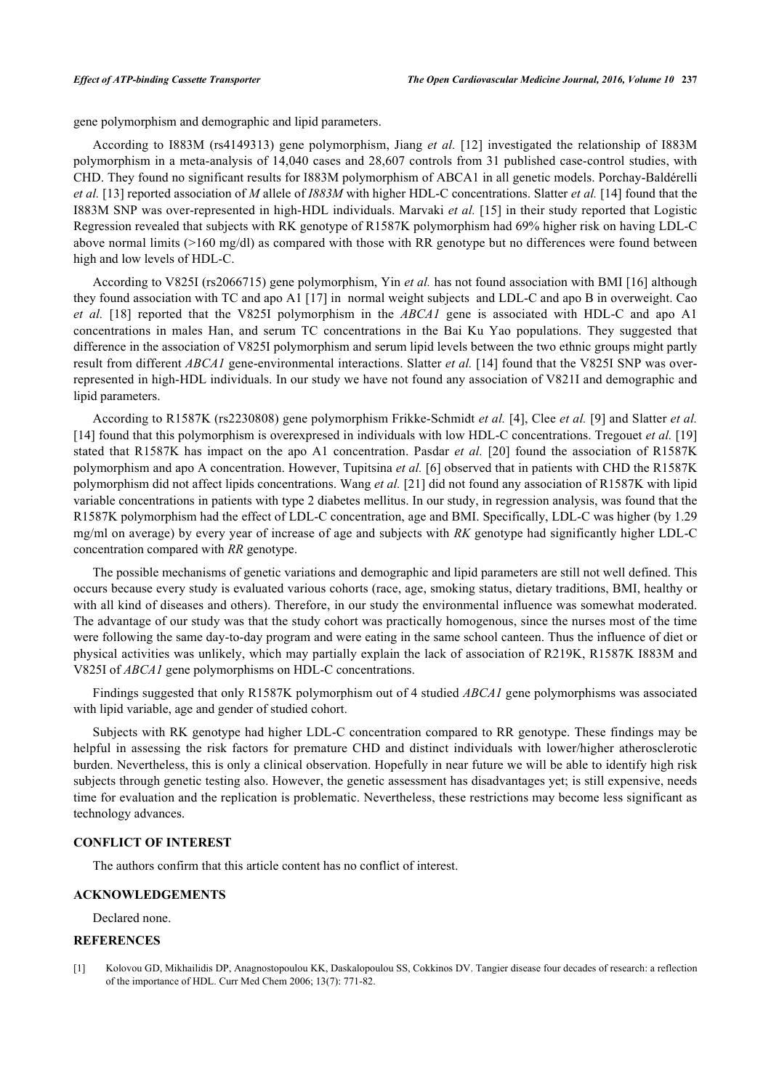gene polymorphism and demographic and lipid parameters.

According to I883M (rs4149313) gene polymorphism, Jiang *et al.* [\[12](#page-5-10)] investigated the relationship of I883M polymorphism in a meta-analysis of 14,040 cases and 28,607 controls from 31 published case-control studies, with CHD. They found no significant results for I883M polymorphism of ABCA1 in all genetic models. Porchay-Baldérelli *et al.* [[13\]](#page-5-11) reported association of *M* allele of *I883M* with higher HDL-C concentrations. Slatter *et al.* [\[14](#page-5-12)] found that the I883M SNP was over-represented in high-HDL individuals. Marvaki *et al.* [[15](#page-5-13)] in their study reported that Logistic Regression revealed that subjects with RK genotype of R1587K polymorphism had 69% higher risk on having LDL-C above normal limits (>160 mg/dl) as compared with those with RR genotype but no differences were found between high and low levels of HDL-C.

According to V825I (rs2066715) gene polymorphism, Yin *et al.* has not found association with BMI [[16](#page-5-14)] although they found association with TC and apo A1 [\[17\]](#page-5-15) in normal weight subjects and LDL-C and apo B in overweight. Cao *et al.* [[18](#page-5-16)] reported that the V825I polymorphism in the *ABCA1* gene is associated with HDL-C and apo A1 concentrations in males Han, and serum TC concentrations in the Bai Ku Yao populations. They suggested that difference in the association of V825I polymorphism and serum lipid levels between the two ethnic groups might partly result from different *ABCA1* gene-environmental interactions. Slatter *et al.* [\[14](#page-5-12)] found that the V825I SNP was overrepresented in high-HDL individuals. In our study we have not found any association of V821I and demographic and lipid parameters.

According to R1587K (rs2230808) gene polymorphism Frikke-Schmidt *et al.* [[4\]](#page-5-2), Clee *et al.* [\[9](#page-5-7)] and Slatter *et al.* [\[14](#page-5-12)] found that this polymorphism is overexpresed in individuals with low HDL-C concentrations. Tregouet *et al.* [\[19](#page-5-17)] stated that R1587K has impact on the apo A1 concentration. Pasdar *et al.* [\[20\]](#page-5-18) found the association of R1587K polymorphism and apo A concentration. However, Tupitsina *et al.* [\[6](#page-5-4)] observed that in patients with CHD the R1587K polymorphism did not affect lipids concentrations. Wang *et al.* [\[21](#page-6-0)] did not found any association of R1587K with lipid variable concentrations in patients with type 2 diabetes mellitus. In our study, in regression analysis, was found that the R1587K polymorphism had the effect of LDL-C concentration, age and BMI. Specifically, LDL-C was higher (by 1.29 mg/ml on average) by every year of increase of age and subjects with *RK* genotype had significantly higher LDL-C concentration compared with *RR* genotype.

The possible mechanisms of genetic variations and demographic and lipid parameters are still not well defined. This occurs because every study is evaluated various cohorts (race, age, smoking status, dietary traditions, BMI, healthy or with all kind of diseases and others). Therefore, in our study the environmental influence was somewhat moderated. The advantage of our study was that the study cohort was practically homogenous, since the nurses most of the time were following the same day-to-day program and were eating in the same school canteen. Thus the influence of diet or physical activities was unlikely, which may partially explain the lack of association of R219K, R1587K I883M and V825I of *ABCA1* gene polymorphisms on HDL-C concentrations.

Findings suggested that only R1587K polymorphism out of 4 studied *ABCA1* gene polymorphisms was associated with lipid variable, age and gender of studied cohort.

Subjects with RK genotype had higher LDL-C concentration compared to RR genotype. These findings may be helpful in assessing the risk factors for premature CHD and distinct individuals with lower/higher atherosclerotic burden. Nevertheless, this is only a clinical observation. Hopefully in near future we will be able to identify high risk subjects through genetic testing also. However, the genetic assessment has disadvantages yet; is still expensive, needs time for evaluation and the replication is problematic. Nevertheless, these restrictions may become less significant as technology advances.

# **CONFLICT OF INTEREST**

The authors confirm that this article content has no conflict of interest.

### **ACKNOWLEDGEMENTS**

Declared none.

### **REFERENCES**

<span id="page-4-0"></span>[1] Kolovou GD, Mikhailidis DP, Anagnostopoulou KK, Daskalopoulou SS, Cokkinos DV. Tangier disease four decades of research: a reflection of the importance of HDL. Curr Med Chem 2006; 13(7): 771-82.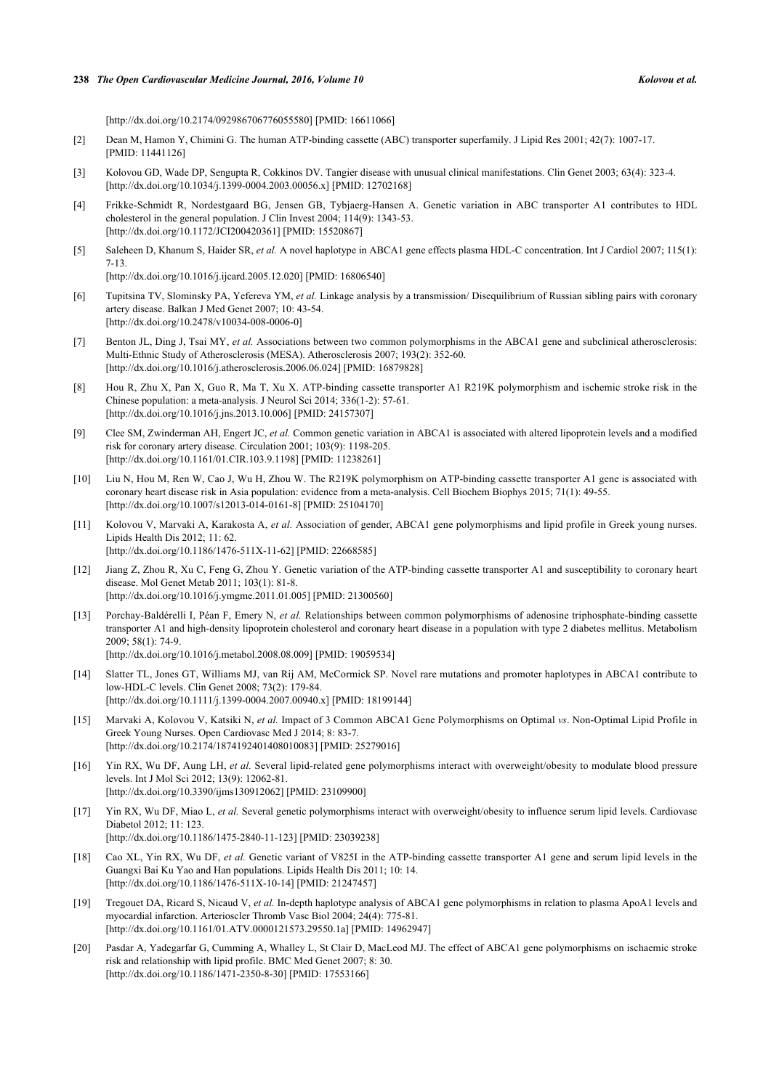[\[http://dx.doi.org/10.2174/092986706776055580\]](http://dx.doi.org/10.2174/092986706776055580) [PMID: [16611066](http://www.ncbi.nlm.nih.gov/pubmed/16611066)]

- <span id="page-5-0"></span>[2] Dean M, Hamon Y, Chimini G. The human ATP-binding cassette (ABC) transporter superfamily. J Lipid Res 2001; 42(7): 1007-17. [PMID: [11441126\]](http://www.ncbi.nlm.nih.gov/pubmed/11441126)
- <span id="page-5-1"></span>[3] Kolovou GD, Wade DP, Sengupta R, Cokkinos DV. Tangier disease with unusual clinical manifestations. Clin Genet 2003; 63(4): 323-4. [\[http://dx.doi.org/10.1034/j.1399-0004.2003.00056.x\]](http://dx.doi.org/10.1034/j.1399-0004.2003.00056.x) [PMID: [12702168](http://www.ncbi.nlm.nih.gov/pubmed/12702168)]
- <span id="page-5-2"></span>[4] Frikke-Schmidt R, Nordestgaard BG, Jensen GB, Tybjaerg-Hansen A. Genetic variation in ABC transporter A1 contributes to HDL cholesterol in the general population. J Clin Invest 2004; 114(9): 1343-53. [\[http://dx.doi.org/10.1172/JCI200420361\]](http://dx.doi.org/10.1172/JCI200420361) [PMID: [15520867](http://www.ncbi.nlm.nih.gov/pubmed/15520867)]
- <span id="page-5-3"></span>[5] Saleheen D, Khanum S, Haider SR, *et al.* A novel haplotype in ABCA1 gene effects plasma HDL-C concentration. Int J Cardiol 2007; 115(1): 7-13.

[\[http://dx.doi.org/10.1016/j.ijcard.2005.12.020](http://dx.doi.org/10.1016/j.ijcard.2005.12.020)] [PMID: [16806540\]](http://www.ncbi.nlm.nih.gov/pubmed/16806540)

- <span id="page-5-4"></span>[6] Tupitsina TV, Slominsky PA, Yefereva YM, *et al.* Linkage analysis by a transmission/ Disequilibrium of Russian sibling pairs with coronary artery disease. Balkan J Med Genet 2007; 10: 43-54. [\[http://dx.doi.org/10.2478/v10034-008-0006-0\]](http://dx.doi.org/10.2478/v10034-008-0006-0)
- <span id="page-5-5"></span>[7] Benton JL, Ding J, Tsai MY, *et al.* Associations between two common polymorphisms in the ABCA1 gene and subclinical atherosclerosis: Multi-Ethnic Study of Atherosclerosis (MESA). Atherosclerosis 2007; 193(2): 352-60. [\[http://dx.doi.org/10.1016/j.atherosclerosis.2006.06.024\]](http://dx.doi.org/10.1016/j.atherosclerosis.2006.06.024) [PMID: [16879828](http://www.ncbi.nlm.nih.gov/pubmed/16879828)]
- <span id="page-5-6"></span>[8] Hou R, Zhu X, Pan X, Guo R, Ma T, Xu X. ATP-binding cassette transporter A1 R219K polymorphism and ischemic stroke risk in the Chinese population: a meta-analysis. J Neurol Sci 2014; 336(1-2): 57-61. [\[http://dx.doi.org/10.1016/j.jns.2013.10.006](http://dx.doi.org/10.1016/j.jns.2013.10.006)] [PMID: [24157307\]](http://www.ncbi.nlm.nih.gov/pubmed/24157307)
- <span id="page-5-7"></span>[9] Clee SM, Zwinderman AH, Engert JC, *et al.* Common genetic variation in ABCA1 is associated with altered lipoprotein levels and a modified risk for coronary artery disease. Circulation 2001; 103(9): 1198-205. [\[http://dx.doi.org/10.1161/01.CIR.103.9.1198](http://dx.doi.org/10.1161/01.CIR.103.9.1198)] [PMID: [11238261\]](http://www.ncbi.nlm.nih.gov/pubmed/11238261)
- <span id="page-5-8"></span>[10] Liu N, Hou M, Ren W, Cao J, Wu H, Zhou W. The R219K polymorphism on ATP-binding cassette transporter A1 gene is associated with coronary heart disease risk in Asia population: evidence from a meta-analysis. Cell Biochem Biophys 2015; 71(1): 49-55. [\[http://dx.doi.org/10.1007/s12013-014-0161-8\]](http://dx.doi.org/10.1007/s12013-014-0161-8) [PMID: [25104170](http://www.ncbi.nlm.nih.gov/pubmed/25104170)]
- <span id="page-5-9"></span>[11] Kolovou V, Marvaki A, Karakosta A, *et al.* Association of gender, ABCA1 gene polymorphisms and lipid profile in Greek young nurses. Lipids Health Dis 2012; 11: 62. [\[http://dx.doi.org/10.1186/1476-511X-11-62\]](http://dx.doi.org/10.1186/1476-511X-11-62) [PMID: [22668585](http://www.ncbi.nlm.nih.gov/pubmed/22668585)]
- <span id="page-5-10"></span>[12] Jiang Z, Zhou R, Xu C, Feng G, Zhou Y. Genetic variation of the ATP-binding cassette transporter A1 and susceptibility to coronary heart disease. Mol Genet Metab 2011; 103(1): 81-8. [\[http://dx.doi.org/10.1016/j.ymgme.2011.01.005](http://dx.doi.org/10.1016/j.ymgme.2011.01.005)] [PMID: [21300560\]](http://www.ncbi.nlm.nih.gov/pubmed/21300560)
- <span id="page-5-11"></span>[13] Porchay-Baldérelli I, Péan F, Emery N, *et al.* Relationships between common polymorphisms of adenosine triphosphate-binding cassette transporter A1 and high-density lipoprotein cholesterol and coronary heart disease in a population with type 2 diabetes mellitus. Metabolism 2009; 58(1): 74-9. [\[http://dx.doi.org/10.1016/j.metabol.2008.08.009\]](http://dx.doi.org/10.1016/j.metabol.2008.08.009) [PMID: [19059534](http://www.ncbi.nlm.nih.gov/pubmed/19059534)]
- <span id="page-5-12"></span>[14] Slatter TL, Jones GT, Williams MJ, van Rij AM, McCormick SP. Novel rare mutations and promoter haplotypes in ABCA1 contribute to low-HDL-C levels. Clin Genet 2008; 73(2): 179-84. [\[http://dx.doi.org/10.1111/j.1399-0004.2007.00940.x\]](http://dx.doi.org/10.1111/j.1399-0004.2007.00940.x) [PMID: [18199144](http://www.ncbi.nlm.nih.gov/pubmed/18199144)]
- <span id="page-5-13"></span>[15] Marvaki A, Kolovou V, Katsiki N, *et al.* Impact of 3 Common ABCA1 Gene Polymorphisms on Optimal *vs*. Non-Optimal Lipid Profile in Greek Young Nurses. Open Cardiovasc Med J 2014; 8: 83-7. [\[http://dx.doi.org/10.2174/1874192401408010083\]](http://dx.doi.org/10.2174/1874192401408010083) [PMID: [25279016](http://www.ncbi.nlm.nih.gov/pubmed/25279016)]
- <span id="page-5-14"></span>[16] Yin RX, Wu DF, Aung LH, *et al.* Several lipid-related gene polymorphisms interact with overweight/obesity to modulate blood pressure levels. Int J Mol Sci 2012; 13(9): 12062-81. [\[http://dx.doi.org/10.3390/ijms130912062\]](http://dx.doi.org/10.3390/ijms130912062) [PMID: [23109900](http://www.ncbi.nlm.nih.gov/pubmed/23109900)]
- <span id="page-5-15"></span>[17] Yin RX, Wu DF, Miao L, *et al.* Several genetic polymorphisms interact with overweight/obesity to influence serum lipid levels. Cardiovasc Diabetol 2012; 11: 123. [\[http://dx.doi.org/10.1186/1475-2840-11-123\]](http://dx.doi.org/10.1186/1475-2840-11-123) [PMID: [23039238](http://www.ncbi.nlm.nih.gov/pubmed/23039238)]
- <span id="page-5-16"></span>[18] Cao XL, Yin RX, Wu DF, *et al.* Genetic variant of V825I in the ATP-binding cassette transporter A1 gene and serum lipid levels in the Guangxi Bai Ku Yao and Han populations. Lipids Health Dis 2011; 10: 14. [\[http://dx.doi.org/10.1186/1476-511X-10-14\]](http://dx.doi.org/10.1186/1476-511X-10-14) [PMID: [21247457](http://www.ncbi.nlm.nih.gov/pubmed/21247457)]
- <span id="page-5-17"></span>[19] Tregouet DA, Ricard S, Nicaud V, *et al.* In-depth haplotype analysis of ABCA1 gene polymorphisms in relation to plasma ApoA1 levels and myocardial infarction. Arterioscler Thromb Vasc Biol 2004; 24(4): 775-81. [\[http://dx.doi.org/10.1161/01.ATV.0000121573.29550.1a\]](http://dx.doi.org/10.1161/01.ATV.0000121573.29550.1a) [PMID: [14962947](http://www.ncbi.nlm.nih.gov/pubmed/14962947)]
- <span id="page-5-18"></span>[20] Pasdar A, Yadegarfar G, Cumming A, Whalley L, St Clair D, MacLeod MJ. The effect of ABCA1 gene polymorphisms on ischaemic stroke risk and relationship with lipid profile. BMC Med Genet 2007; 8: 30. [\[http://dx.doi.org/10.1186/1471-2350-8-30\]](http://dx.doi.org/10.1186/1471-2350-8-30) [PMID: [17553166](http://www.ncbi.nlm.nih.gov/pubmed/17553166)]